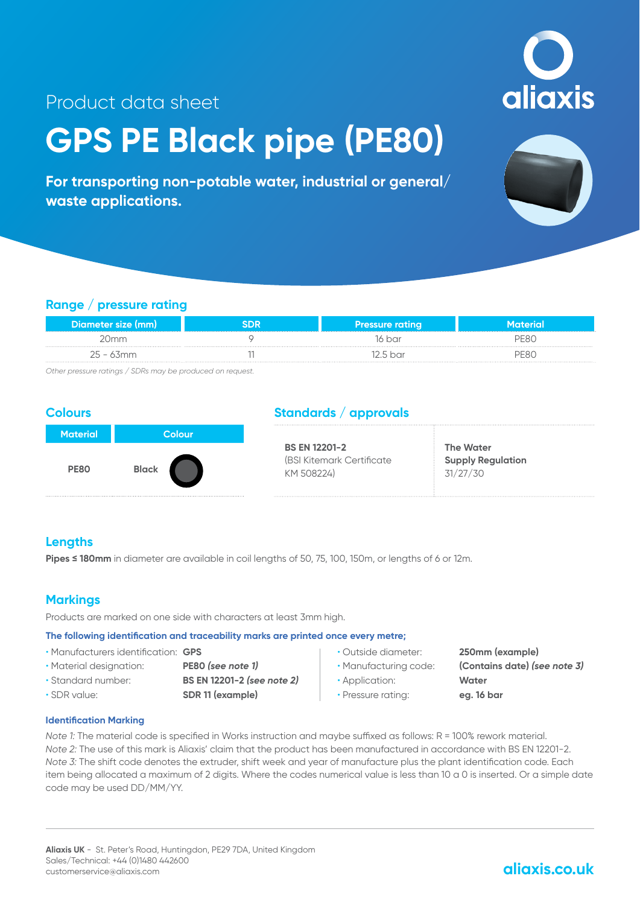**aliaxis** 

## Product data sheet

# **GPS PE Black pipe (PE80)**

**For transporting non-potable water, industrial or general/ waste applications.**



#### **Range / pressure rating**

| Diameter size (mm) | <b><i>Program and Contract Contract</i></b> | Pressure rating |   |
|--------------------|---------------------------------------------|-----------------|---|
|                    |                                             | 16 bar          |   |
| 25 - 63mm<br>      |                                             | .5 bar          | . |

*Other pressure ratings / SDRs may be produced on request.*

#### **Colours**



#### **Standards / approvals**

| <b>BS EN 12201-2</b>       | <b>The Water</b>         |
|----------------------------|--------------------------|
| (BSI Kitemark Certificate) | <b>Supply Regulation</b> |
| KM 508224)                 | 31/27/30                 |

#### **Lengths**

Pipes ≤ 180mm in diameter are available in coil lengths of 50, 75, 100, 150m, or lengths of 6 or 12m.

#### **Markings**

Products are marked on one side with characters at least 3mm high.

#### **The following identification and traceability marks are printed once every metre;**

- Manufacturers identification: **GPS**
- Material designation: **PE80** *(see note 1)*
	-
- 
- Standard number: **BS EN 12201-2** *(see note 2)*
- SDR value: **SDR 11 (example)**
- 
- 
- Application: **Water**
- Pressure rating: **eg. 16 bar**
- Outside diameter: **250mm (example)**
- Manufacturing code: **(Contains date)** *(see note 3)*
	-

#### **Identification Marking**

*Note 1:* The material code is specified in Works instruction and maybe suffixed as follows: R = 100% rework material. *Note 2:* The use of this mark is Aliaxis' claim that the product has been manufactured in accordance with BS EN 12201-2. *Note 3:* The shift code denotes the extruder, shift week and year of manufacture plus the plant identification code. Each item being allocated a maximum of 2 digits. Where the codes numerical value is less than 10 a 0 is inserted. Or a simple date code may be used DD/MM/YY.

### **aliaxis.co.uk**